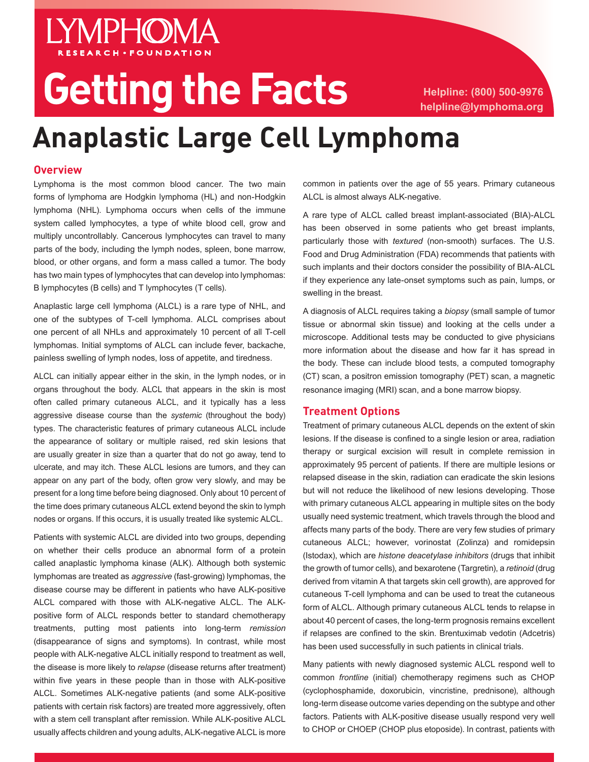# Getting the Facts **Helpline: (800) 500-9976**

**helpline@lymphoma.org**

# **Anaplastic Large Cell Lymphoma**

### **Overview**

Lymphoma is the most common blood cancer. The two main forms of lymphoma are Hodgkin lymphoma (HL) and non-Hodgkin lymphoma (NHL). Lymphoma occurs when cells of the immune system called lymphocytes, a type of white blood cell, grow and multiply uncontrollably. Cancerous lymphocytes can travel to many parts of the body, including the lymph nodes, spleen, bone marrow, blood, or other organs, and form a mass called a tumor. The body has two main types of lymphocytes that can develop into lymphomas: B lymphocytes (B cells) and T lymphocytes (T cells).

**LYMPHOMA** 

Anaplastic large cell lymphoma (ALCL) is a rare type of NHL, and one of the subtypes of T-cell lymphoma. ALCL comprises about one percent of all NHLs and approximately 10 percent of all T-cell lymphomas. Initial symptoms of ALCL can include fever, backache, painless swelling of lymph nodes, loss of appetite, and tiredness.

ALCL can initially appear either in the skin, in the lymph nodes, or in organs throughout the body. ALCL that appears in the skin is most often called primary cutaneous ALCL, and it typically has a less aggressive disease course than the *systemic* (throughout the body) types. The characteristic features of primary cutaneous ALCL include the appearance of solitary or multiple raised, red skin lesions that are usually greater in size than a quarter that do not go away, tend to ulcerate, and may itch. These ALCL lesions are tumors, and they can appear on any part of the body, often grow very slowly, and may be present for a long time before being diagnosed. Only about 10 percent of the time does primary cutaneous ALCL extend beyond the skin to lymph nodes or organs. If this occurs, it is usually treated like systemic ALCL.

Patients with systemic ALCL are divided into two groups, depending on whether their cells produce an abnormal form of a protein called anaplastic lymphoma kinase (ALK). Although both systemic lymphomas are treated as *aggressive* (fast-growing) lymphomas, the disease course may be different in patients who have ALK-positive ALCL compared with those with ALK-negative ALCL. The ALKpositive form of ALCL responds better to standard chemotherapy treatments, putting most patients into long-term *remission*  (disappearance of signs and symptoms). In contrast, while most people with ALK-negative ALCL initially respond to treatment as well, the disease is more likely to *relapse* (disease returns after treatment) within five years in these people than in those with ALK-positive ALCL. Sometimes ALK-negative patients (and some ALK-positive patients with certain risk factors) are treated more aggressively, often with a stem cell transplant after remission. While ALK-positive ALCL usually affects children and young adults, ALK-negative ALCL is more common in patients over the age of 55 years. Primary cutaneous ALCL is almost always ALK-negative.

A rare type of ALCL called breast implant-associated (BIA)-ALCL has been observed in some patients who get breast implants, particularly those with *textured* (non-smooth) surfaces. The U.S. Food and Drug Administration (FDA) recommends that patients with such implants and their doctors consider the possibility of BIA-ALCL if they experience any late-onset symptoms such as pain, lumps, or swelling in the breast.

A diagnosis of ALCL requires taking a *biopsy* (small sample of tumor tissue or abnormal skin tissue) and looking at the cells under a microscope. Additional tests may be conducted to give physicians more information about the disease and how far it has spread in the body. These can include blood tests, a computed tomography (CT) scan, a positron emission tomography (PET) scan, a magnetic resonance imaging (MRI) scan, and a bone marrow biopsy.

#### **Treatment Options**

Treatment of primary cutaneous ALCL depends on the extent of skin lesions. If the disease is confined to a single lesion or area, radiation therapy or surgical excision will result in complete remission in approximately 95 percent of patients. If there are multiple lesions or relapsed disease in the skin, radiation can eradicate the skin lesions but will not reduce the likelihood of new lesions developing. Those with primary cutaneous ALCL appearing in multiple sites on the body usually need systemic treatment, which travels through the blood and affects many parts of the body. There are very few studies of primary cutaneous ALCL; however, vorinostat (Zolinza) and romidepsin (Istodax), which are *histone deacetylase inhibitors* (drugs that inhibit the growth of tumor cells), and bexarotene (Targretin), a *retinoid* (drug derived from vitamin A that targets skin cell growth), are approved for cutaneous T-cell lymphoma and can be used to treat the cutaneous form of ALCL. Although primary cutaneous ALCL tends to relapse in about 40 percent of cases, the long-term prognosis remains excellent if relapses are confined to the skin. Brentuximab vedotin (Adcetris) has been used successfully in such patients in clinical trials.

Many patients with newly diagnosed systemic ALCL respond well to common *frontline* (initial) chemotherapy regimens such as CHOP (cyclophosphamide, doxorubicin, vincristine, prednisone), although long-term disease outcome varies depending on the subtype and other factors. Patients with ALK-positive disease usually respond very well to CHOP or CHOEP (CHOP plus etoposide). In contrast, patients with